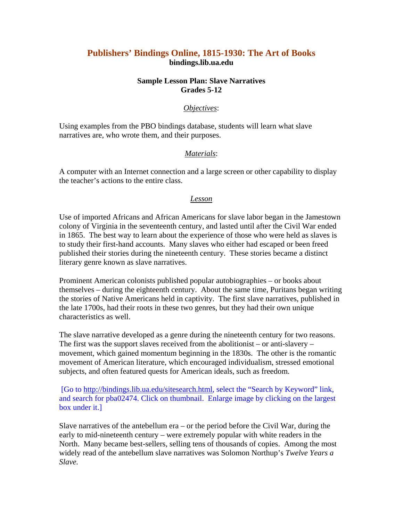# **Publishers' Bindings Online, 1815-1930: The Art of Books bindings.lib.ua.edu**

#### **Sample Lesson Plan: Slave Narratives Grades 5-12**

#### *Objectives*:

Using examples from the PBO bindings database, students will learn what slave narratives are, who wrote them, and their purposes.

#### *Materials*:

A computer with an Internet connection and a large screen or other capability to display the teacher's actions to the entire class.

#### *Lesson*

Use of imported Africans and African Americans for slave labor began in the Jamestown colony of Virginia in the seventeenth century, and lasted until after the Civil War ended in 1865. The best way to learn about the experience of those who were held as slaves is to study their first-hand accounts. Many slaves who either had escaped or been freed published their stories during the nineteenth century. These stories became a distinct literary genre known as slave narratives.

Prominent American colonists published popular autobiographies – or books about themselves – during the eighteenth century. About the same time, Puritans began writing the stories of Native Americans held in captivity. The first slave narratives, published in the late 1700s, had their roots in these two genres, but they had their own unique characteristics as well.

The slave narrative developed as a genre during the nineteenth century for two reasons. The first was the support slaves received from the abolitionist – or anti-slavery – movement, which gained momentum beginning in the 1830s. The other is the romantic movement of American literature, which encouraged individualism, stressed emotional subjects, and often featured quests for American ideals, such as freedom.

 [Go to [http://bindings.lib.ua.edu/sitesearch.html,](http://bindings.lib.ua.edu/sitesearch.html) select the "Search by Keyword" link, and search for pba02474. Click on thumbnail. Enlarge image by clicking on the largest box under it.]

Slave narratives of the antebellum era – or the period before the Civil War, during the early to mid-nineteenth century – were extremely popular with white readers in the North. Many became best-sellers, selling tens of thousands of copies. Among the most widely read of the antebellum slave narratives was Solomon Northup's *Twelve Years a Slave.*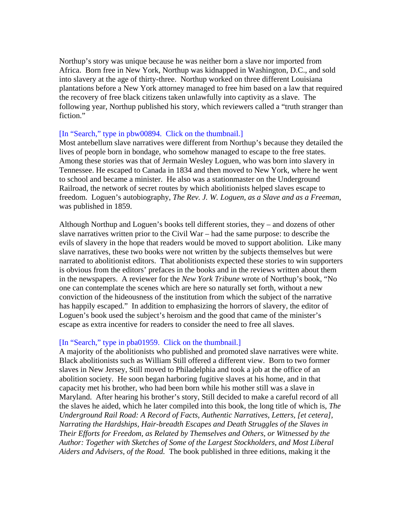Northup's story was unique because he was neither born a slave nor imported from Africa. Born free in New York, Northup was kidnapped in Washington, D.C., and sold into slavery at the age of thirty-three. Northup worked on three different Louisiana plantations before a New York attorney managed to free him based on a law that required the recovery of free black citizens taken unlawfully into captivity as a slave. The following year, Northup published his story, which reviewers called a "truth stranger than fiction."

#### [In "Search," type in pbw00894. Click on the thumbnail.]

Most antebellum slave narratives were different from Northup's because they detailed the lives of people born in bondage, who somehow managed to escape to the free states. Among these stories was that of Jermain Wesley Loguen, who was born into slavery in Tennessee. He escaped to Canada in 1834 and then moved to New York, where he went to school and became a minister. He also was a stationmaster on the Underground Railroad, the network of secret routes by which abolitionists helped slaves escape to freedom. Loguen's autobiography, *The Rev. J. W. Loguen, as a Slave and as a Freeman*, was published in 1859.

Although Northup and Loguen's books tell different stories, they – and dozens of other slave narratives written prior to the Civil War – had the same purpose: to describe the evils of slavery in the hope that readers would be moved to support abolition. Like many slave narratives, these two books were not written by the subjects themselves but were narrated to abolitionist editors. That abolitionists expected these stories to win supporters is obvious from the editors' prefaces in the books and in the reviews written about them in the newspapers. A reviewer for the *New York Tribune* wrote of Northup's book, "No one can contemplate the scenes which are here so naturally set forth, without a new conviction of the hideousness of the institution from which the subject of the narrative has happily escaped." In addition to emphasizing the horrors of slavery, the editor of Loguen's book used the subject's heroism and the good that came of the minister's escape as extra incentive for readers to consider the need to free all slaves.

#### [In "Search," type in pba01959. Click on the thumbnail.]

A majority of the abolitionists who published and promoted slave narratives were white. Black abolitionists such as William Still offered a different view. Born to two former slaves in New Jersey, Still moved to Philadelphia and took a job at the office of an abolition society. He soon began harboring fugitive slaves at his home, and in that capacity met his brother, who had been born while his mother still was a slave in Maryland. After hearing his brother's story, Still decided to make a careful record of all the slaves he aided, which he later compiled into this book, the long title of which is, *The Underground Rail Road: A Record of Facts, Authentic Narratives, Letters, [et cetera], Narrating the Hardships, Hair-breadth Escapes and Death Struggles of the Slaves in Their Efforts for Freedom, as Related by Themselves and Others, or Witnessed by the Author: Together with Sketches of Some of the Largest Stockholders, and Most Liberal Aiders and Advisers, of the Road.* The book published in three editions, making it the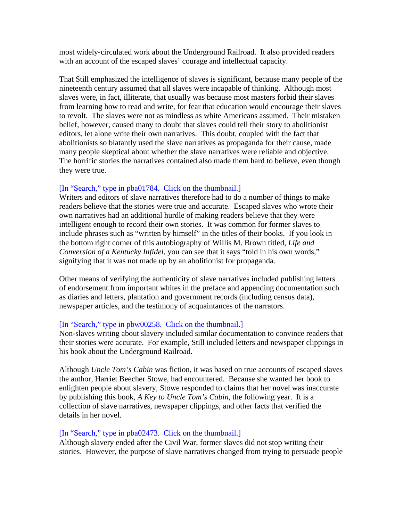most widely-circulated work about the Underground Railroad. It also provided readers with an account of the escaped slaves' courage and intellectual capacity.

That Still emphasized the intelligence of slaves is significant, because many people of the nineteenth century assumed that all slaves were incapable of thinking. Although most slaves were, in fact, illiterate, that usually was because most masters forbid their slaves from learning how to read and write, for fear that education would encourage their slaves to revolt. The slaves were not as mindless as white Americans assumed. Their mistaken belief, however, caused many to doubt that slaves could tell their story to abolitionist editors, let alone write their own narratives. This doubt, coupled with the fact that abolitionists so blatantly used the slave narratives as propaganda for their cause, made many people skeptical about whether the slave narratives were reliable and objective. The horrific stories the narratives contained also made them hard to believe, even though they were true.

### [In "Search," type in pba01784. Click on the thumbnail.]

Writers and editors of slave narratives therefore had to do a number of things to make readers believe that the stories were true and accurate. Escaped slaves who wrote their own narratives had an additional hurdle of making readers believe that they were intelligent enough to record their own stories. It was common for former slaves to include phrases such as "written by himself" in the titles of their books. If you look in the bottom right corner of this autobiography of Willis M. Brown titled, *Life and Conversion of a Kentucky Infidel*, you can see that it says "told in his own words," signifying that it was not made up by an abolitionist for propaganda.

Other means of verifying the authenticity of slave narratives included publishing letters of endorsement from important whites in the preface and appending documentation such as diaries and letters, plantation and government records (including census data), newspaper articles, and the testimony of acquaintances of the narrators.

#### [In "Search," type in pbw00258. Click on the thumbnail.]

Non-slaves writing about slavery included similar documentation to convince readers that their stories were accurate. For example, Still included letters and newspaper clippings in his book about the Underground Railroad.

Although *Uncle Tom's Cabin* was fiction, it was based on true accounts of escaped slaves the author, Harriet Beecher Stowe, had encountered. Because she wanted her book to enlighten people about slavery, Stowe responded to claims that her novel was inaccurate by publishing this book, *A Key to Uncle Tom's Cabin*, the following year. It is a collection of slave narratives, newspaper clippings, and other facts that verified the details in her novel.

#### [In "Search," type in pba02473. Click on the thumbnail.]

Although slavery ended after the Civil War, former slaves did not stop writing their stories. However, the purpose of slave narratives changed from trying to persuade people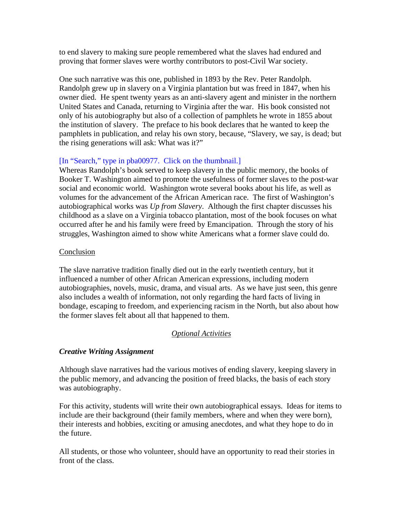to end slavery to making sure people remembered what the slaves had endured and proving that former slaves were worthy contributors to post-Civil War society.

One such narrative was this one, published in 1893 by the Rev. Peter Randolph. Randolph grew up in slavery on a Virginia plantation but was freed in 1847, when his owner died. He spent twenty years as an anti-slavery agent and minister in the northern United States and Canada, returning to Virginia after the war. His book consisted not only of his autobiography but also of a collection of pamphlets he wrote in 1855 about the institution of slavery. The preface to his book declares that he wanted to keep the pamphlets in publication, and relay his own story, because, "Slavery, we say, is dead; but the rising generations will ask: What was it?"

## [In "Search," type in pba00977. Click on the thumbnail.]

Whereas Randolph's book served to keep slavery in the public memory, the books of Booker T. Washington aimed to promote the usefulness of former slaves to the post-war social and economic world. Washington wrote several books about his life, as well as volumes for the advancement of the African American race. The first of Washington's autobiographical works was *Up from Slavery*. Although the first chapter discusses his childhood as a slave on a Virginia tobacco plantation, most of the book focuses on what occurred after he and his family were freed by Emancipation. Through the story of his struggles, Washington aimed to show white Americans what a former slave could do.

## Conclusion

The slave narrative tradition finally died out in the early twentieth century, but it influenced a number of other African American expressions, including modern autobiographies, novels, music, drama, and visual arts. As we have just seen, this genre also includes a wealth of information, not only regarding the hard facts of living in bondage, escaping to freedom, and experiencing racism in the North, but also about how the former slaves felt about all that happened to them.

## *Optional Activities*

## *Creative Writing Assignment*

Although slave narratives had the various motives of ending slavery, keeping slavery in the public memory, and advancing the position of freed blacks, the basis of each story was autobiography.

For this activity, students will write their own autobiographical essays. Ideas for items to include are their background (their family members, where and when they were born), their interests and hobbies, exciting or amusing anecdotes, and what they hope to do in the future.

All students, or those who volunteer, should have an opportunity to read their stories in front of the class.